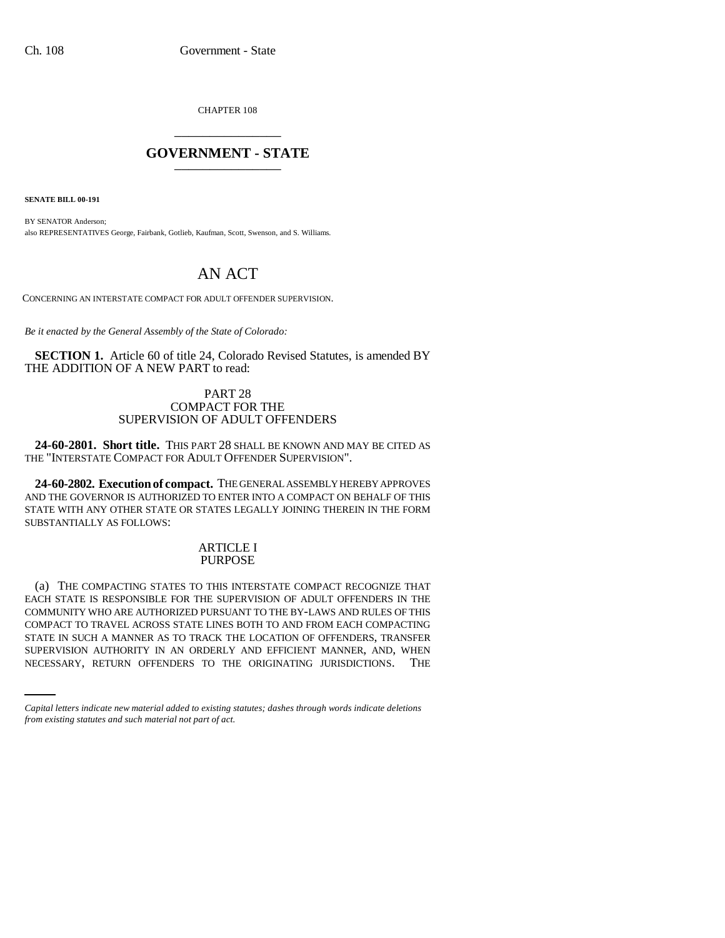CHAPTER 108 \_\_\_\_\_\_\_\_\_\_\_\_\_\_\_

# **GOVERNMENT - STATE** \_\_\_\_\_\_\_\_\_\_\_\_\_\_\_

**SENATE BILL 00-191** 

BY SENATOR Anderson; also REPRESENTATIVES George, Fairbank, Gotlieb, Kaufman, Scott, Swenson, and S. Williams.

# AN ACT

CONCERNING AN INTERSTATE COMPACT FOR ADULT OFFENDER SUPERVISION.

*Be it enacted by the General Assembly of the State of Colorado:*

**SECTION 1.** Article 60 of title 24, Colorado Revised Statutes, is amended BY THE ADDITION OF A NEW PART to read:

# PART 28 COMPACT FOR THE SUPERVISION OF ADULT OFFENDERS

**24-60-2801. Short title.** THIS PART 28 SHALL BE KNOWN AND MAY BE CITED AS THE "INTERSTATE COMPACT FOR ADULT OFFENDER SUPERVISION".

**24-60-2802. Execution of compact.** THE GENERAL ASSEMBLY HEREBY APPROVES AND THE GOVERNOR IS AUTHORIZED TO ENTER INTO A COMPACT ON BEHALF OF THIS STATE WITH ANY OTHER STATE OR STATES LEGALLY JOINING THEREIN IN THE FORM SUBSTANTIALLY AS FOLLOWS:

# ARTICLE I PURPOSE

STATE IN SUCH A MANNER AS TO TRACK THE LOCATION OF OFFENDERS, TRANSFER (a) THE COMPACTING STATES TO THIS INTERSTATE COMPACT RECOGNIZE THAT EACH STATE IS RESPONSIBLE FOR THE SUPERVISION OF ADULT OFFENDERS IN THE COMMUNITY WHO ARE AUTHORIZED PURSUANT TO THE BY-LAWS AND RULES OF THIS COMPACT TO TRAVEL ACROSS STATE LINES BOTH TO AND FROM EACH COMPACTING SUPERVISION AUTHORITY IN AN ORDERLY AND EFFICIENT MANNER, AND, WHEN NECESSARY, RETURN OFFENDERS TO THE ORIGINATING JURISDICTIONS. THE

*Capital letters indicate new material added to existing statutes; dashes through words indicate deletions from existing statutes and such material not part of act.*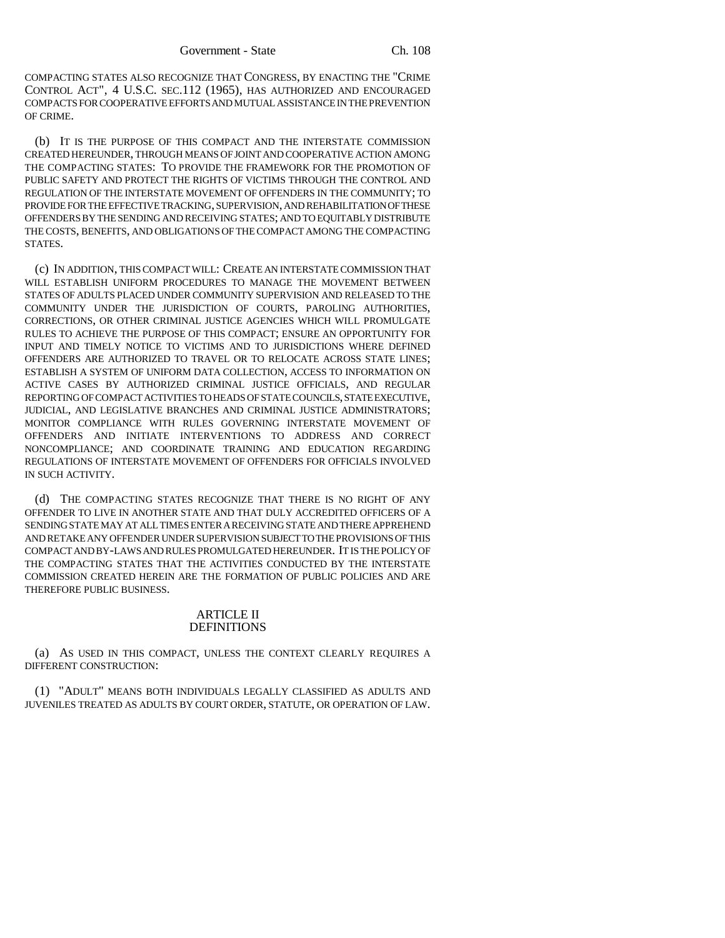COMPACTING STATES ALSO RECOGNIZE THAT CONGRESS, BY ENACTING THE "CRIME CONTROL ACT", 4 U.S.C. SEC.112 (1965), HAS AUTHORIZED AND ENCOURAGED COMPACTS FOR COOPERATIVE EFFORTS AND MUTUAL ASSISTANCE IN THE PREVENTION OF CRIME.

(b) IT IS THE PURPOSE OF THIS COMPACT AND THE INTERSTATE COMMISSION CREATED HEREUNDER, THROUGH MEANS OF JOINT AND COOPERATIVE ACTION AMONG THE COMPACTING STATES: TO PROVIDE THE FRAMEWORK FOR THE PROMOTION OF PUBLIC SAFETY AND PROTECT THE RIGHTS OF VICTIMS THROUGH THE CONTROL AND REGULATION OF THE INTERSTATE MOVEMENT OF OFFENDERS IN THE COMMUNITY; TO PROVIDE FOR THE EFFECTIVE TRACKING, SUPERVISION, AND REHABILITATION OF THESE OFFENDERS BY THE SENDING AND RECEIVING STATES; AND TO EQUITABLY DISTRIBUTE THE COSTS, BENEFITS, AND OBLIGATIONS OF THE COMPACT AMONG THE COMPACTING STATES.

(c) IN ADDITION, THIS COMPACT WILL: CREATE AN INTERSTATE COMMISSION THAT WILL ESTABLISH UNIFORM PROCEDURES TO MANAGE THE MOVEMENT BETWEEN STATES OF ADULTS PLACED UNDER COMMUNITY SUPERVISION AND RELEASED TO THE COMMUNITY UNDER THE JURISDICTION OF COURTS, PAROLING AUTHORITIES, CORRECTIONS, OR OTHER CRIMINAL JUSTICE AGENCIES WHICH WILL PROMULGATE RULES TO ACHIEVE THE PURPOSE OF THIS COMPACT; ENSURE AN OPPORTUNITY FOR INPUT AND TIMELY NOTICE TO VICTIMS AND TO JURISDICTIONS WHERE DEFINED OFFENDERS ARE AUTHORIZED TO TRAVEL OR TO RELOCATE ACROSS STATE LINES; ESTABLISH A SYSTEM OF UNIFORM DATA COLLECTION, ACCESS TO INFORMATION ON ACTIVE CASES BY AUTHORIZED CRIMINAL JUSTICE OFFICIALS, AND REGULAR REPORTING OF COMPACT ACTIVITIES TO HEADS OF STATE COUNCILS, STATE EXECUTIVE, JUDICIAL, AND LEGISLATIVE BRANCHES AND CRIMINAL JUSTICE ADMINISTRATORS; MONITOR COMPLIANCE WITH RULES GOVERNING INTERSTATE MOVEMENT OF OFFENDERS AND INITIATE INTERVENTIONS TO ADDRESS AND CORRECT NONCOMPLIANCE; AND COORDINATE TRAINING AND EDUCATION REGARDING REGULATIONS OF INTERSTATE MOVEMENT OF OFFENDERS FOR OFFICIALS INVOLVED IN SUCH ACTIVITY.

(d) THE COMPACTING STATES RECOGNIZE THAT THERE IS NO RIGHT OF ANY OFFENDER TO LIVE IN ANOTHER STATE AND THAT DULY ACCREDITED OFFICERS OF A SENDING STATE MAY AT ALL TIMES ENTER A RECEIVING STATE AND THERE APPREHEND AND RETAKE ANY OFFENDER UNDER SUPERVISION SUBJECT TO THE PROVISIONS OF THIS COMPACT AND BY-LAWS AND RULES PROMULGATED HEREUNDER. IT IS THE POLICY OF THE COMPACTING STATES THAT THE ACTIVITIES CONDUCTED BY THE INTERSTATE COMMISSION CREATED HEREIN ARE THE FORMATION OF PUBLIC POLICIES AND ARE THEREFORE PUBLIC BUSINESS.

# ARTICLE II DEFINITIONS

(a) AS USED IN THIS COMPACT, UNLESS THE CONTEXT CLEARLY REQUIRES A DIFFERENT CONSTRUCTION:

(1) "ADULT" MEANS BOTH INDIVIDUALS LEGALLY CLASSIFIED AS ADULTS AND JUVENILES TREATED AS ADULTS BY COURT ORDER, STATUTE, OR OPERATION OF LAW.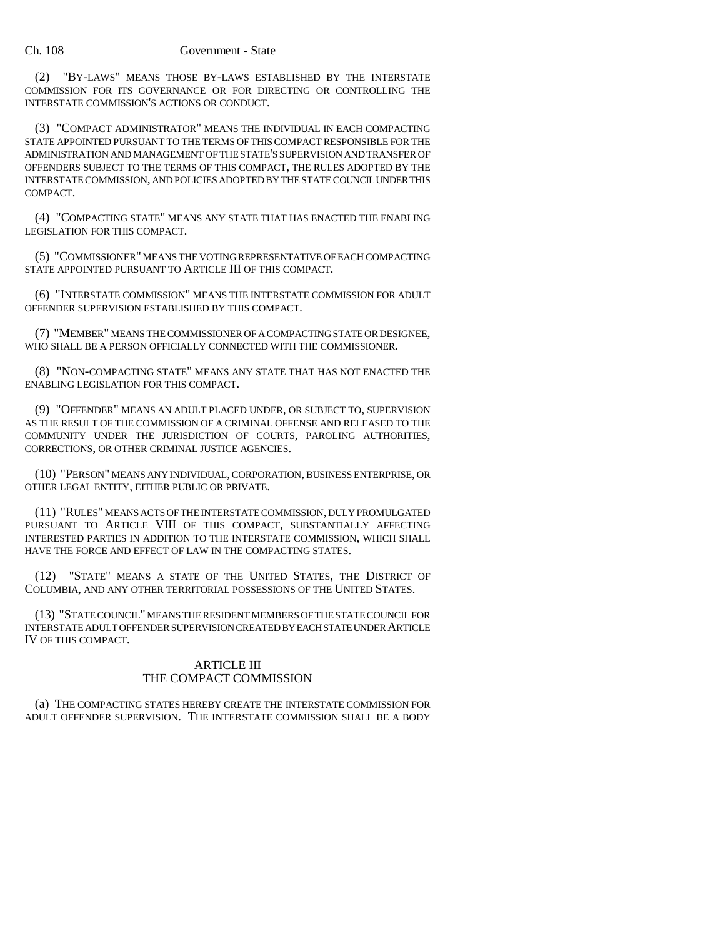(2) "BY-LAWS" MEANS THOSE BY-LAWS ESTABLISHED BY THE INTERSTATE COMMISSION FOR ITS GOVERNANCE OR FOR DIRECTING OR CONTROLLING THE INTERSTATE COMMISSION'S ACTIONS OR CONDUCT.

(3) "COMPACT ADMINISTRATOR" MEANS THE INDIVIDUAL IN EACH COMPACTING STATE APPOINTED PURSUANT TO THE TERMS OF THIS COMPACT RESPONSIBLE FOR THE ADMINISTRATION AND MANAGEMENT OF THE STATE'S SUPERVISION AND TRANSFER OF OFFENDERS SUBJECT TO THE TERMS OF THIS COMPACT, THE RULES ADOPTED BY THE INTERSTATE COMMISSION, AND POLICIES ADOPTED BY THE STATE COUNCIL UNDER THIS COMPACT.

(4) "COMPACTING STATE" MEANS ANY STATE THAT HAS ENACTED THE ENABLING LEGISLATION FOR THIS COMPACT.

(5) "COMMISSIONER" MEANS THE VOTING REPRESENTATIVE OF EACH COMPACTING STATE APPOINTED PURSUANT TO ARTICLE III OF THIS COMPACT.

(6) "INTERSTATE COMMISSION" MEANS THE INTERSTATE COMMISSION FOR ADULT OFFENDER SUPERVISION ESTABLISHED BY THIS COMPACT.

(7) "MEMBER" MEANS THE COMMISSIONER OF A COMPACTING STATE OR DESIGNEE, WHO SHALL BE A PERSON OFFICIALLY CONNECTED WITH THE COMMISSIONER.

(8) "NON-COMPACTING STATE" MEANS ANY STATE THAT HAS NOT ENACTED THE ENABLING LEGISLATION FOR THIS COMPACT.

(9) "OFFENDER" MEANS AN ADULT PLACED UNDER, OR SUBJECT TO, SUPERVISION AS THE RESULT OF THE COMMISSION OF A CRIMINAL OFFENSE AND RELEASED TO THE COMMUNITY UNDER THE JURISDICTION OF COURTS, PAROLING AUTHORITIES, CORRECTIONS, OR OTHER CRIMINAL JUSTICE AGENCIES.

(10) "PERSON" MEANS ANY INDIVIDUAL, CORPORATION, BUSINESS ENTERPRISE, OR OTHER LEGAL ENTITY, EITHER PUBLIC OR PRIVATE.

(11) "RULES" MEANS ACTS OF THE INTERSTATE COMMISSION, DULY PROMULGATED PURSUANT TO ARTICLE VIII OF THIS COMPACT, SUBSTANTIALLY AFFECTING INTERESTED PARTIES IN ADDITION TO THE INTERSTATE COMMISSION, WHICH SHALL HAVE THE FORCE AND EFFECT OF LAW IN THE COMPACTING STATES.

(12) "STATE" MEANS A STATE OF THE UNITED STATES, THE DISTRICT OF COLUMBIA, AND ANY OTHER TERRITORIAL POSSESSIONS OF THE UNITED STATES.

(13) "STATE COUNCIL" MEANS THE RESIDENT MEMBERS OF THE STATE COUNCIL FOR INTERSTATE ADULT OFFENDER SUPERVISION CREATED BY EACH STATE UNDER ARTICLE IV OF THIS COMPACT.

# ARTICLE III THE COMPACT COMMISSION

(a) THE COMPACTING STATES HEREBY CREATE THE INTERSTATE COMMISSION FOR ADULT OFFENDER SUPERVISION. THE INTERSTATE COMMISSION SHALL BE A BODY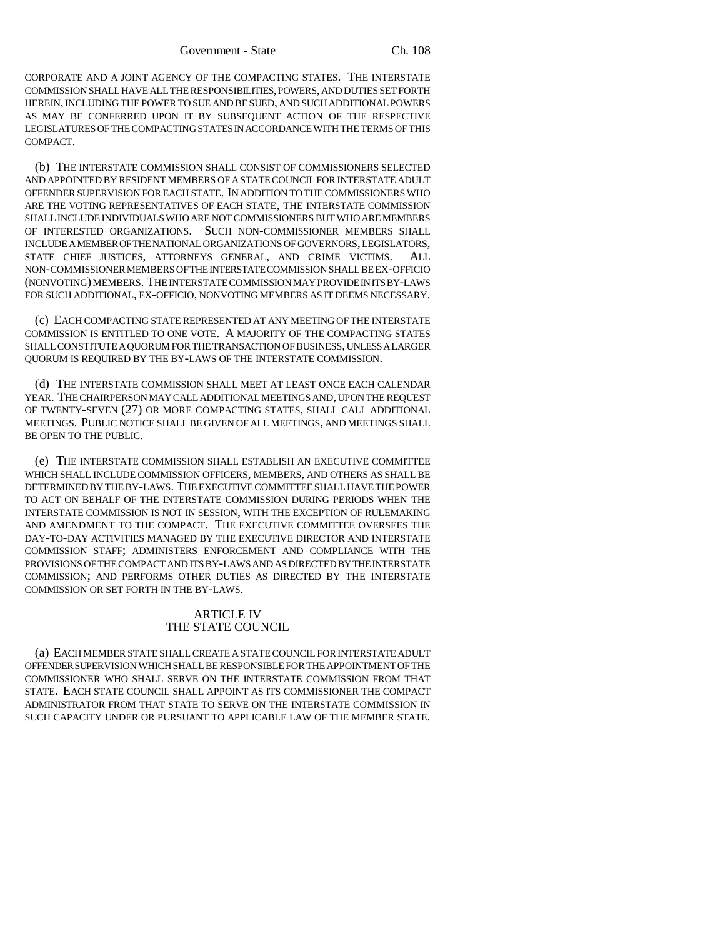CORPORATE AND A JOINT AGENCY OF THE COMPACTING STATES. THE INTERSTATE COMMISSION SHALL HAVE ALL THE RESPONSIBILITIES, POWERS, AND DUTIES SET FORTH HEREIN, INCLUDING THE POWER TO SUE AND BE SUED, AND SUCH ADDITIONAL POWERS AS MAY BE CONFERRED UPON IT BY SUBSEQUENT ACTION OF THE RESPECTIVE LEGISLATURES OF THE COMPACTING STATES IN ACCORDANCE WITH THE TERMS OF THIS COMPACT.

(b) THE INTERSTATE COMMISSION SHALL CONSIST OF COMMISSIONERS SELECTED AND APPOINTED BY RESIDENT MEMBERS OF A STATE COUNCIL FOR INTERSTATE ADULT OFFENDER SUPERVISION FOR EACH STATE. IN ADDITION TO THE COMMISSIONERS WHO ARE THE VOTING REPRESENTATIVES OF EACH STATE, THE INTERSTATE COMMISSION SHALL INCLUDE INDIVIDUALS WHO ARE NOT COMMISSIONERS BUT WHO ARE MEMBERS OF INTERESTED ORGANIZATIONS. SUCH NON-COMMISSIONER MEMBERS SHALL INCLUDE A MEMBER OF THE NATIONAL ORGANIZATIONS OF GOVERNORS, LEGISLATORS, STATE CHIEF JUSTICES, ATTORNEYS GENERAL, AND CRIME VICTIMS. ALL NON-COMMISSIONER MEMBERS OF THE INTERSTATE COMMISSION SHALL BE EX-OFFICIO (NONVOTING) MEMBERS. THE INTERSTATE COMMISSION MAY PROVIDE IN ITS BY-LAWS FOR SUCH ADDITIONAL, EX-OFFICIO, NONVOTING MEMBERS AS IT DEEMS NECESSARY.

(c) EACH COMPACTING STATE REPRESENTED AT ANY MEETING OF THE INTERSTATE COMMISSION IS ENTITLED TO ONE VOTE. A MAJORITY OF THE COMPACTING STATES SHALL CONSTITUTE A QUORUM FOR THE TRANSACTION OF BUSINESS, UNLESS A LARGER QUORUM IS REQUIRED BY THE BY-LAWS OF THE INTERSTATE COMMISSION.

(d) THE INTERSTATE COMMISSION SHALL MEET AT LEAST ONCE EACH CALENDAR YEAR. THE CHAIRPERSON MAY CALL ADDITIONAL MEETINGS AND, UPON THE REQUEST OF TWENTY-SEVEN (27) OR MORE COMPACTING STATES, SHALL CALL ADDITIONAL MEETINGS. PUBLIC NOTICE SHALL BE GIVEN OF ALL MEETINGS, AND MEETINGS SHALL BE OPEN TO THE PUBLIC.

(e) THE INTERSTATE COMMISSION SHALL ESTABLISH AN EXECUTIVE COMMITTEE WHICH SHALL INCLUDE COMMISSION OFFICERS, MEMBERS, AND OTHERS AS SHALL BE DETERMINED BY THE BY-LAWS. THE EXECUTIVE COMMITTEE SHALL HAVE THE POWER TO ACT ON BEHALF OF THE INTERSTATE COMMISSION DURING PERIODS WHEN THE INTERSTATE COMMISSION IS NOT IN SESSION, WITH THE EXCEPTION OF RULEMAKING AND AMENDMENT TO THE COMPACT. THE EXECUTIVE COMMITTEE OVERSEES THE DAY-TO-DAY ACTIVITIES MANAGED BY THE EXECUTIVE DIRECTOR AND INTERSTATE COMMISSION STAFF; ADMINISTERS ENFORCEMENT AND COMPLIANCE WITH THE PROVISIONS OF THE COMPACT AND ITS BY-LAWS AND AS DIRECTED BY THE INTERSTATE COMMISSION; AND PERFORMS OTHER DUTIES AS DIRECTED BY THE INTERSTATE COMMISSION OR SET FORTH IN THE BY-LAWS.

# ARTICLE IV THE STATE COUNCIL

(a) EACH MEMBER STATE SHALL CREATE A STATE COUNCIL FOR INTERSTATE ADULT OFFENDER SUPERVISION WHICH SHALL BE RESPONSIBLE FOR THE APPOINTMENT OF THE COMMISSIONER WHO SHALL SERVE ON THE INTERSTATE COMMISSION FROM THAT STATE. EACH STATE COUNCIL SHALL APPOINT AS ITS COMMISSIONER THE COMPACT ADMINISTRATOR FROM THAT STATE TO SERVE ON THE INTERSTATE COMMISSION IN SUCH CAPACITY UNDER OR PURSUANT TO APPLICABLE LAW OF THE MEMBER STATE.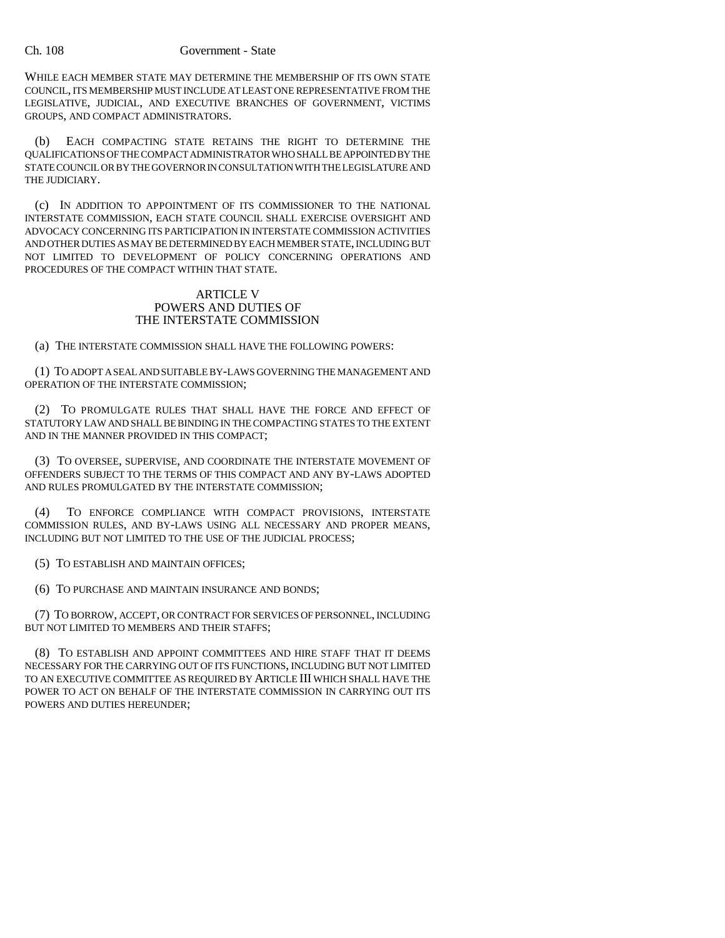WHILE EACH MEMBER STATE MAY DETERMINE THE MEMBERSHIP OF ITS OWN STATE COUNCIL, ITS MEMBERSHIP MUST INCLUDE AT LEAST ONE REPRESENTATIVE FROM THE LEGISLATIVE, JUDICIAL, AND EXECUTIVE BRANCHES OF GOVERNMENT, VICTIMS GROUPS, AND COMPACT ADMINISTRATORS.

(b) EACH COMPACTING STATE RETAINS THE RIGHT TO DETERMINE THE QUALIFICATIONS OF THE COMPACT ADMINISTRATOR WHO SHALL BE APPOINTED BY THE STATE COUNCIL OR BY THE GOVERNOR IN CONSULTATION WITH THE LEGISLATURE AND THE JUDICIARY.

(c) IN ADDITION TO APPOINTMENT OF ITS COMMISSIONER TO THE NATIONAL INTERSTATE COMMISSION, EACH STATE COUNCIL SHALL EXERCISE OVERSIGHT AND ADVOCACY CONCERNING ITS PARTICIPATION IN INTERSTATE COMMISSION ACTIVITIES AND OTHER DUTIES AS MAY BE DETERMINED BY EACH MEMBER STATE, INCLUDING BUT NOT LIMITED TO DEVELOPMENT OF POLICY CONCERNING OPERATIONS AND PROCEDURES OF THE COMPACT WITHIN THAT STATE.

# ARTICLE V POWERS AND DUTIES OF THE INTERSTATE COMMISSION

(a) THE INTERSTATE COMMISSION SHALL HAVE THE FOLLOWING POWERS:

(1) TO ADOPT A SEAL AND SUITABLE BY-LAWS GOVERNING THE MANAGEMENT AND OPERATION OF THE INTERSTATE COMMISSION;

(2) TO PROMULGATE RULES THAT SHALL HAVE THE FORCE AND EFFECT OF STATUTORY LAW AND SHALL BE BINDING IN THE COMPACTING STATES TO THE EXTENT AND IN THE MANNER PROVIDED IN THIS COMPACT;

(3) TO OVERSEE, SUPERVISE, AND COORDINATE THE INTERSTATE MOVEMENT OF OFFENDERS SUBJECT TO THE TERMS OF THIS COMPACT AND ANY BY-LAWS ADOPTED AND RULES PROMULGATED BY THE INTERSTATE COMMISSION;

(4) TO ENFORCE COMPLIANCE WITH COMPACT PROVISIONS, INTERSTATE COMMISSION RULES, AND BY-LAWS USING ALL NECESSARY AND PROPER MEANS, INCLUDING BUT NOT LIMITED TO THE USE OF THE JUDICIAL PROCESS;

(5) TO ESTABLISH AND MAINTAIN OFFICES;

(6) TO PURCHASE AND MAINTAIN INSURANCE AND BONDS;

(7) TO BORROW, ACCEPT, OR CONTRACT FOR SERVICES OF PERSONNEL, INCLUDING BUT NOT LIMITED TO MEMBERS AND THEIR STAFFS;

(8) TO ESTABLISH AND APPOINT COMMITTEES AND HIRE STAFF THAT IT DEEMS NECESSARY FOR THE CARRYING OUT OF ITS FUNCTIONS, INCLUDING BUT NOT LIMITED TO AN EXECUTIVE COMMITTEE AS REQUIRED BY ARTICLE III WHICH SHALL HAVE THE POWER TO ACT ON BEHALF OF THE INTERSTATE COMMISSION IN CARRYING OUT ITS POWERS AND DUTIES HEREUNDER;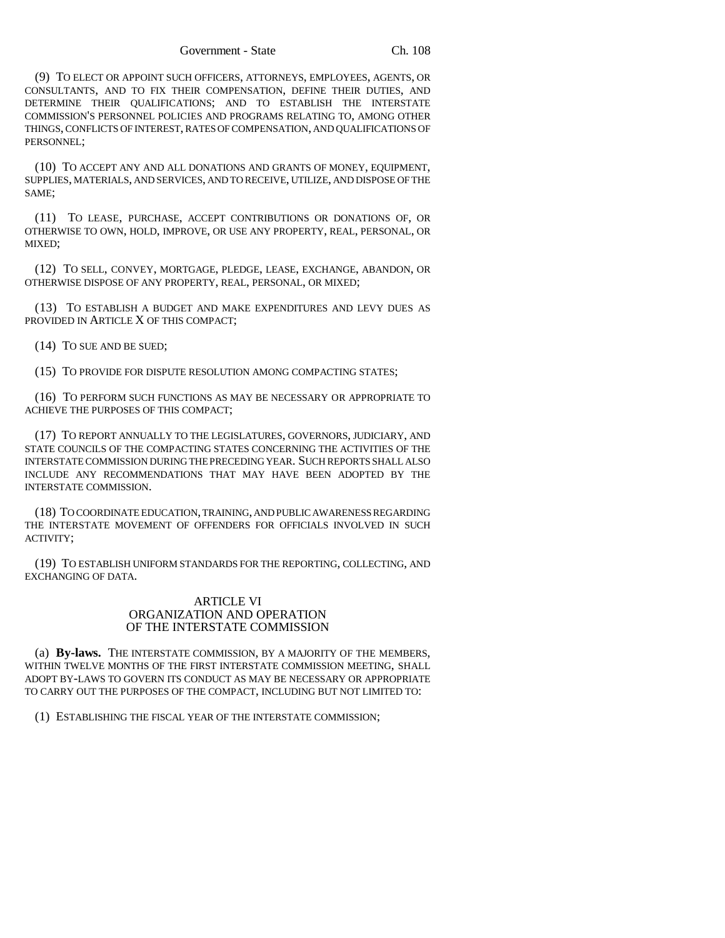(9) TO ELECT OR APPOINT SUCH OFFICERS, ATTORNEYS, EMPLOYEES, AGENTS, OR CONSULTANTS, AND TO FIX THEIR COMPENSATION, DEFINE THEIR DUTIES, AND DETERMINE THEIR QUALIFICATIONS; AND TO ESTABLISH THE INTERSTATE COMMISSION'S PERSONNEL POLICIES AND PROGRAMS RELATING TO, AMONG OTHER THINGS, CONFLICTS OF INTEREST, RATES OF COMPENSATION, AND QUALIFICATIONS OF PERSONNEL;

(10) TO ACCEPT ANY AND ALL DONATIONS AND GRANTS OF MONEY, EQUIPMENT, SUPPLIES, MATERIALS, AND SERVICES, AND TO RECEIVE, UTILIZE, AND DISPOSE OF THE SAME;

(11) TO LEASE, PURCHASE, ACCEPT CONTRIBUTIONS OR DONATIONS OF, OR OTHERWISE TO OWN, HOLD, IMPROVE, OR USE ANY PROPERTY, REAL, PERSONAL, OR MIXED;

(12) TO SELL, CONVEY, MORTGAGE, PLEDGE, LEASE, EXCHANGE, ABANDON, OR OTHERWISE DISPOSE OF ANY PROPERTY, REAL, PERSONAL, OR MIXED;

(13) TO ESTABLISH A BUDGET AND MAKE EXPENDITURES AND LEVY DUES AS PROVIDED IN ARTICLE X OF THIS COMPACT;

(14) TO SUE AND BE SUED;

(15) TO PROVIDE FOR DISPUTE RESOLUTION AMONG COMPACTING STATES;

(16) TO PERFORM SUCH FUNCTIONS AS MAY BE NECESSARY OR APPROPRIATE TO ACHIEVE THE PURPOSES OF THIS COMPACT;

(17) TO REPORT ANNUALLY TO THE LEGISLATURES, GOVERNORS, JUDICIARY, AND STATE COUNCILS OF THE COMPACTING STATES CONCERNING THE ACTIVITIES OF THE INTERSTATE COMMISSION DURING THE PRECEDING YEAR. SUCH REPORTS SHALL ALSO INCLUDE ANY RECOMMENDATIONS THAT MAY HAVE BEEN ADOPTED BY THE INTERSTATE COMMISSION.

(18) TO COORDINATE EDUCATION, TRAINING, AND PUBLIC AWARENESS REGARDING THE INTERSTATE MOVEMENT OF OFFENDERS FOR OFFICIALS INVOLVED IN SUCH ACTIVITY;

(19) TO ESTABLISH UNIFORM STANDARDS FOR THE REPORTING, COLLECTING, AND EXCHANGING OF DATA.

# ARTICLE VI ORGANIZATION AND OPERATION OF THE INTERSTATE COMMISSION

(a) **By-laws.** THE INTERSTATE COMMISSION, BY A MAJORITY OF THE MEMBERS, WITHIN TWELVE MONTHS OF THE FIRST INTERSTATE COMMISSION MEETING, SHALL ADOPT BY-LAWS TO GOVERN ITS CONDUCT AS MAY BE NECESSARY OR APPROPRIATE TO CARRY OUT THE PURPOSES OF THE COMPACT, INCLUDING BUT NOT LIMITED TO:

(1) ESTABLISHING THE FISCAL YEAR OF THE INTERSTATE COMMISSION;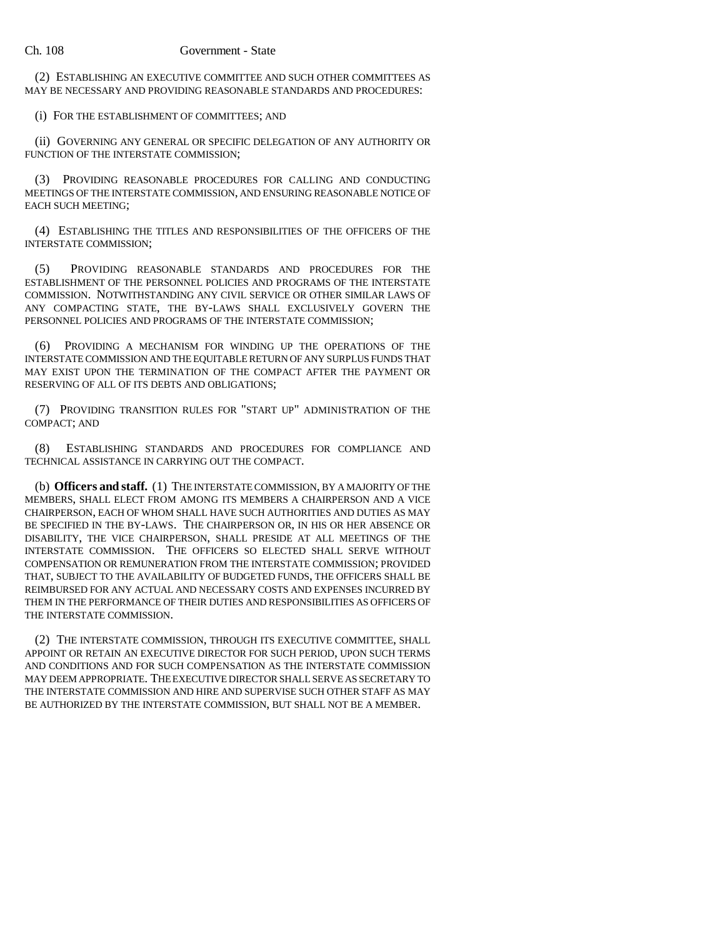(2) ESTABLISHING AN EXECUTIVE COMMITTEE AND SUCH OTHER COMMITTEES AS MAY BE NECESSARY AND PROVIDING REASONABLE STANDARDS AND PROCEDURES:

(i) FOR THE ESTABLISHMENT OF COMMITTEES; AND

(ii) GOVERNING ANY GENERAL OR SPECIFIC DELEGATION OF ANY AUTHORITY OR FUNCTION OF THE INTERSTATE COMMISSION;

(3) PROVIDING REASONABLE PROCEDURES FOR CALLING AND CONDUCTING MEETINGS OF THE INTERSTATE COMMISSION, AND ENSURING REASONABLE NOTICE OF EACH SUCH MEETING;

(4) ESTABLISHING THE TITLES AND RESPONSIBILITIES OF THE OFFICERS OF THE INTERSTATE COMMISSION;

(5) PROVIDING REASONABLE STANDARDS AND PROCEDURES FOR THE ESTABLISHMENT OF THE PERSONNEL POLICIES AND PROGRAMS OF THE INTERSTATE COMMISSION. NOTWITHSTANDING ANY CIVIL SERVICE OR OTHER SIMILAR LAWS OF ANY COMPACTING STATE, THE BY-LAWS SHALL EXCLUSIVELY GOVERN THE PERSONNEL POLICIES AND PROGRAMS OF THE INTERSTATE COMMISSION;

(6) PROVIDING A MECHANISM FOR WINDING UP THE OPERATIONS OF THE INTERSTATE COMMISSION AND THE EQUITABLE RETURN OF ANY SURPLUS FUNDS THAT MAY EXIST UPON THE TERMINATION OF THE COMPACT AFTER THE PAYMENT OR RESERVING OF ALL OF ITS DEBTS AND OBLIGATIONS;

(7) PROVIDING TRANSITION RULES FOR "START UP" ADMINISTRATION OF THE COMPACT; AND

(8) ESTABLISHING STANDARDS AND PROCEDURES FOR COMPLIANCE AND TECHNICAL ASSISTANCE IN CARRYING OUT THE COMPACT.

(b) **Officers and staff.** (1) THE INTERSTATE COMMISSION, BY A MAJORITY OF THE MEMBERS, SHALL ELECT FROM AMONG ITS MEMBERS A CHAIRPERSON AND A VICE CHAIRPERSON, EACH OF WHOM SHALL HAVE SUCH AUTHORITIES AND DUTIES AS MAY BE SPECIFIED IN THE BY-LAWS. THE CHAIRPERSON OR, IN HIS OR HER ABSENCE OR DISABILITY, THE VICE CHAIRPERSON, SHALL PRESIDE AT ALL MEETINGS OF THE INTERSTATE COMMISSION. THE OFFICERS SO ELECTED SHALL SERVE WITHOUT COMPENSATION OR REMUNERATION FROM THE INTERSTATE COMMISSION; PROVIDED THAT, SUBJECT TO THE AVAILABILITY OF BUDGETED FUNDS, THE OFFICERS SHALL BE REIMBURSED FOR ANY ACTUAL AND NECESSARY COSTS AND EXPENSES INCURRED BY THEM IN THE PERFORMANCE OF THEIR DUTIES AND RESPONSIBILITIES AS OFFICERS OF THE INTERSTATE COMMISSION.

(2) THE INTERSTATE COMMISSION, THROUGH ITS EXECUTIVE COMMITTEE, SHALL APPOINT OR RETAIN AN EXECUTIVE DIRECTOR FOR SUCH PERIOD, UPON SUCH TERMS AND CONDITIONS AND FOR SUCH COMPENSATION AS THE INTERSTATE COMMISSION MAY DEEM APPROPRIATE. THE EXECUTIVE DIRECTOR SHALL SERVE AS SECRETARY TO THE INTERSTATE COMMISSION AND HIRE AND SUPERVISE SUCH OTHER STAFF AS MAY BE AUTHORIZED BY THE INTERSTATE COMMISSION, BUT SHALL NOT BE A MEMBER.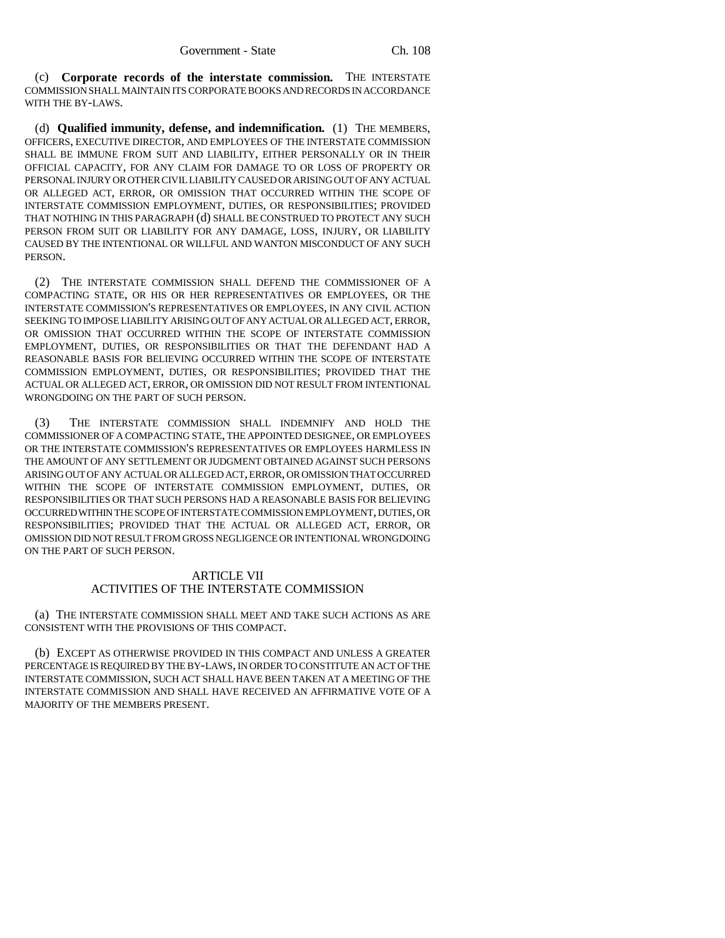(c) **Corporate records of the interstate commission.** THE INTERSTATE COMMISSION SHALL MAINTAIN ITS CORPORATE BOOKS AND RECORDS IN ACCORDANCE WITH THE BY-LAWS.

(d) **Qualified immunity, defense, and indemnification.** (1) THE MEMBERS, OFFICERS, EXECUTIVE DIRECTOR, AND EMPLOYEES OF THE INTERSTATE COMMISSION SHALL BE IMMUNE FROM SUIT AND LIABILITY, EITHER PERSONALLY OR IN THEIR OFFICIAL CAPACITY, FOR ANY CLAIM FOR DAMAGE TO OR LOSS OF PROPERTY OR PERSONAL INJURY OR OTHER CIVIL LIABILITY CAUSED OR ARISING OUT OF ANY ACTUAL OR ALLEGED ACT, ERROR, OR OMISSION THAT OCCURRED WITHIN THE SCOPE OF INTERSTATE COMMISSION EMPLOYMENT, DUTIES, OR RESPONSIBILITIES; PROVIDED THAT NOTHING IN THIS PARAGRAPH (d) SHALL BE CONSTRUED TO PROTECT ANY SUCH PERSON FROM SUIT OR LIABILITY FOR ANY DAMAGE, LOSS, INJURY, OR LIABILITY CAUSED BY THE INTENTIONAL OR WILLFUL AND WANTON MISCONDUCT OF ANY SUCH PERSON.

(2) THE INTERSTATE COMMISSION SHALL DEFEND THE COMMISSIONER OF A COMPACTING STATE, OR HIS OR HER REPRESENTATIVES OR EMPLOYEES, OR THE INTERSTATE COMMISSION'S REPRESENTATIVES OR EMPLOYEES, IN ANY CIVIL ACTION SEEKING TO IMPOSE LIABILITY ARISING OUT OF ANY ACTUAL OR ALLEGED ACT, ERROR, OR OMISSION THAT OCCURRED WITHIN THE SCOPE OF INTERSTATE COMMISSION EMPLOYMENT, DUTIES, OR RESPONSIBILITIES OR THAT THE DEFENDANT HAD A REASONABLE BASIS FOR BELIEVING OCCURRED WITHIN THE SCOPE OF INTERSTATE COMMISSION EMPLOYMENT, DUTIES, OR RESPONSIBILITIES; PROVIDED THAT THE ACTUAL OR ALLEGED ACT, ERROR, OR OMISSION DID NOT RESULT FROM INTENTIONAL WRONGDOING ON THE PART OF SUCH PERSON.

(3) THE INTERSTATE COMMISSION SHALL INDEMNIFY AND HOLD THE COMMISSIONER OF A COMPACTING STATE, THE APPOINTED DESIGNEE, OR EMPLOYEES OR THE INTERSTATE COMMISSION'S REPRESENTATIVES OR EMPLOYEES HARMLESS IN THE AMOUNT OF ANY SETTLEMENT OR JUDGMENT OBTAINED AGAINST SUCH PERSONS ARISING OUT OF ANY ACTUAL OR ALLEGED ACT, ERROR, OR OMISSION THAT OCCURRED WITHIN THE SCOPE OF INTERSTATE COMMISSION EMPLOYMENT, DUTIES, OR RESPONSIBILITIES OR THAT SUCH PERSONS HAD A REASONABLE BASIS FOR BELIEVING OCCURRED WITHIN THE SCOPE OF INTERSTATE COMMISSION EMPLOYMENT, DUTIES, OR RESPONSIBILITIES; PROVIDED THAT THE ACTUAL OR ALLEGED ACT, ERROR, OR OMISSION DID NOT RESULT FROM GROSS NEGLIGENCE OR INTENTIONAL WRONGDOING ON THE PART OF SUCH PERSON.

# ARTICLE VII ACTIVITIES OF THE INTERSTATE COMMISSION

(a) THE INTERSTATE COMMISSION SHALL MEET AND TAKE SUCH ACTIONS AS ARE CONSISTENT WITH THE PROVISIONS OF THIS COMPACT.

(b) EXCEPT AS OTHERWISE PROVIDED IN THIS COMPACT AND UNLESS A GREATER PERCENTAGE IS REQUIRED BY THE BY-LAWS, IN ORDER TO CONSTITUTE AN ACT OF THE INTERSTATE COMMISSION, SUCH ACT SHALL HAVE BEEN TAKEN AT A MEETING OF THE INTERSTATE COMMISSION AND SHALL HAVE RECEIVED AN AFFIRMATIVE VOTE OF A MAJORITY OF THE MEMBERS PRESENT.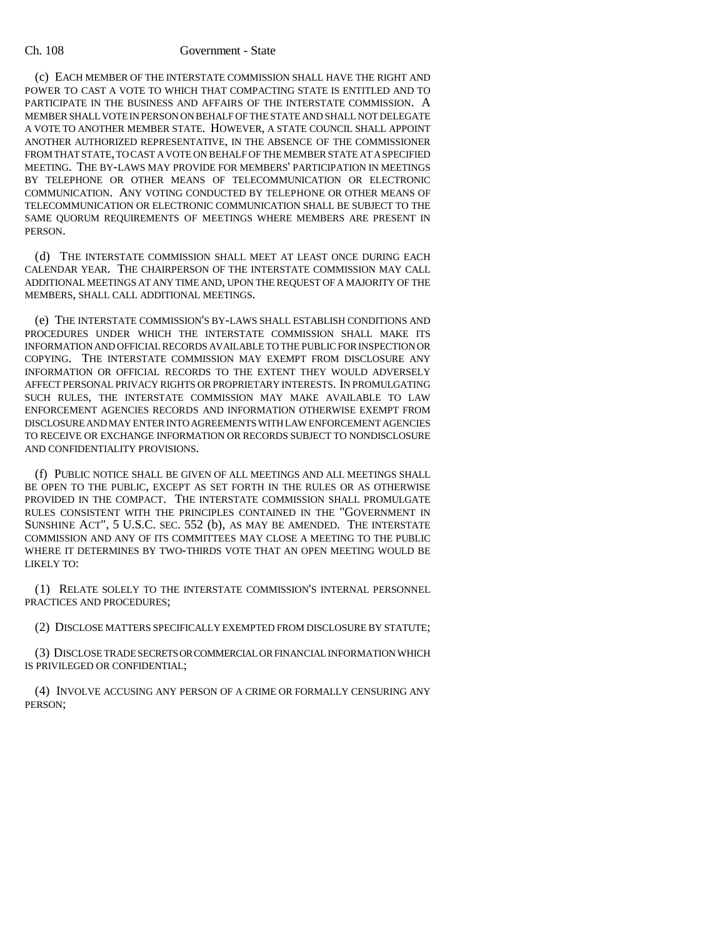(c) EACH MEMBER OF THE INTERSTATE COMMISSION SHALL HAVE THE RIGHT AND POWER TO CAST A VOTE TO WHICH THAT COMPACTING STATE IS ENTITLED AND TO PARTICIPATE IN THE BUSINESS AND AFFAIRS OF THE INTERSTATE COMMISSION. A MEMBER SHALL VOTE IN PERSON ON BEHALF OF THE STATE AND SHALL NOT DELEGATE A VOTE TO ANOTHER MEMBER STATE. HOWEVER, A STATE COUNCIL SHALL APPOINT ANOTHER AUTHORIZED REPRESENTATIVE, IN THE ABSENCE OF THE COMMISSIONER FROM THAT STATE, TO CAST A VOTE ON BEHALF OF THE MEMBER STATE AT A SPECIFIED MEETING. THE BY-LAWS MAY PROVIDE FOR MEMBERS' PARTICIPATION IN MEETINGS BY TELEPHONE OR OTHER MEANS OF TELECOMMUNICATION OR ELECTRONIC COMMUNICATION. ANY VOTING CONDUCTED BY TELEPHONE OR OTHER MEANS OF TELECOMMUNICATION OR ELECTRONIC COMMUNICATION SHALL BE SUBJECT TO THE SAME QUORUM REQUIREMENTS OF MEETINGS WHERE MEMBERS ARE PRESENT IN PERSON.

(d) THE INTERSTATE COMMISSION SHALL MEET AT LEAST ONCE DURING EACH CALENDAR YEAR. THE CHAIRPERSON OF THE INTERSTATE COMMISSION MAY CALL ADDITIONAL MEETINGS AT ANY TIME AND, UPON THE REQUEST OF A MAJORITY OF THE MEMBERS, SHALL CALL ADDITIONAL MEETINGS.

(e) THE INTERSTATE COMMISSION'S BY-LAWS SHALL ESTABLISH CONDITIONS AND PROCEDURES UNDER WHICH THE INTERSTATE COMMISSION SHALL MAKE ITS INFORMATION AND OFFICIAL RECORDS AVAILABLE TO THE PUBLIC FOR INSPECTION OR COPYING. THE INTERSTATE COMMISSION MAY EXEMPT FROM DISCLOSURE ANY INFORMATION OR OFFICIAL RECORDS TO THE EXTENT THEY WOULD ADVERSELY AFFECT PERSONAL PRIVACY RIGHTS OR PROPRIETARY INTERESTS. IN PROMULGATING SUCH RULES, THE INTERSTATE COMMISSION MAY MAKE AVAILABLE TO LAW ENFORCEMENT AGENCIES RECORDS AND INFORMATION OTHERWISE EXEMPT FROM DISCLOSURE AND MAY ENTER INTO AGREEMENTS WITH LAW ENFORCEMENT AGENCIES TO RECEIVE OR EXCHANGE INFORMATION OR RECORDS SUBJECT TO NONDISCLOSURE AND CONFIDENTIALITY PROVISIONS.

(f) PUBLIC NOTICE SHALL BE GIVEN OF ALL MEETINGS AND ALL MEETINGS SHALL BE OPEN TO THE PUBLIC, EXCEPT AS SET FORTH IN THE RULES OR AS OTHERWISE PROVIDED IN THE COMPACT. THE INTERSTATE COMMISSION SHALL PROMULGATE RULES CONSISTENT WITH THE PRINCIPLES CONTAINED IN THE "GOVERNMENT IN SUNSHINE ACT", 5 U.S.C. SEC. 552 (b), AS MAY BE AMENDED. THE INTERSTATE COMMISSION AND ANY OF ITS COMMITTEES MAY CLOSE A MEETING TO THE PUBLIC WHERE IT DETERMINES BY TWO-THIRDS VOTE THAT AN OPEN MEETING WOULD BE LIKELY TO:

(1) RELATE SOLELY TO THE INTERSTATE COMMISSION'S INTERNAL PERSONNEL PRACTICES AND PROCEDURES;

(2) DISCLOSE MATTERS SPECIFICALLY EXEMPTED FROM DISCLOSURE BY STATUTE;

(3) DISCLOSE TRADE SECRETS OR COMMERCIAL OR FINANCIAL INFORMATION WHICH IS PRIVILEGED OR CONFIDENTIAL;

(4) INVOLVE ACCUSING ANY PERSON OF A CRIME OR FORMALLY CENSURING ANY PERSON;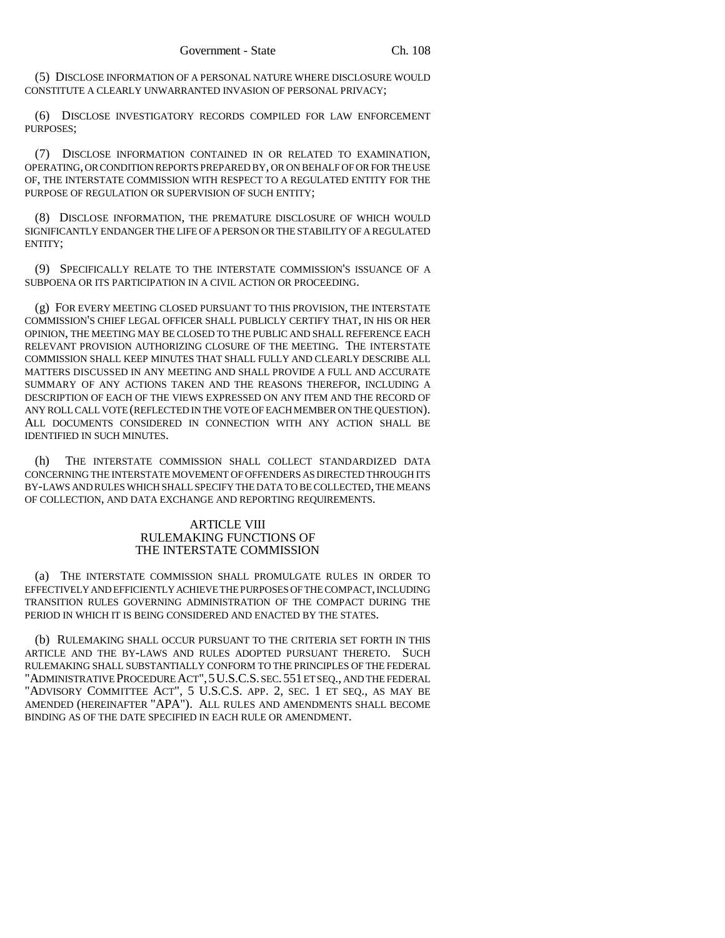(5) DISCLOSE INFORMATION OF A PERSONAL NATURE WHERE DISCLOSURE WOULD CONSTITUTE A CLEARLY UNWARRANTED INVASION OF PERSONAL PRIVACY;

(6) DISCLOSE INVESTIGATORY RECORDS COMPILED FOR LAW ENFORCEMENT PURPOSES;

(7) DISCLOSE INFORMATION CONTAINED IN OR RELATED TO EXAMINATION, OPERATING, OR CONDITION REPORTS PREPARED BY, OR ON BEHALF OF OR FOR THE USE OF, THE INTERSTATE COMMISSION WITH RESPECT TO A REGULATED ENTITY FOR THE PURPOSE OF REGULATION OR SUPERVISION OF SUCH ENTITY;

(8) DISCLOSE INFORMATION, THE PREMATURE DISCLOSURE OF WHICH WOULD SIGNIFICANTLY ENDANGER THE LIFE OF A PERSON OR THE STABILITY OF A REGULATED ENTITY;

(9) SPECIFICALLY RELATE TO THE INTERSTATE COMMISSION'S ISSUANCE OF A SUBPOENA OR ITS PARTICIPATION IN A CIVIL ACTION OR PROCEEDING.

(g) FOR EVERY MEETING CLOSED PURSUANT TO THIS PROVISION, THE INTERSTATE COMMISSION'S CHIEF LEGAL OFFICER SHALL PUBLICLY CERTIFY THAT, IN HIS OR HER OPINION, THE MEETING MAY BE CLOSED TO THE PUBLIC AND SHALL REFERENCE EACH RELEVANT PROVISION AUTHORIZING CLOSURE OF THE MEETING. THE INTERSTATE COMMISSION SHALL KEEP MINUTES THAT SHALL FULLY AND CLEARLY DESCRIBE ALL MATTERS DISCUSSED IN ANY MEETING AND SHALL PROVIDE A FULL AND ACCURATE SUMMARY OF ANY ACTIONS TAKEN AND THE REASONS THEREFOR, INCLUDING A DESCRIPTION OF EACH OF THE VIEWS EXPRESSED ON ANY ITEM AND THE RECORD OF ANY ROLL CALL VOTE (REFLECTED IN THE VOTE OF EACH MEMBER ON THE QUESTION). ALL DOCUMENTS CONSIDERED IN CONNECTION WITH ANY ACTION SHALL BE IDENTIFIED IN SUCH MINUTES.

(h) THE INTERSTATE COMMISSION SHALL COLLECT STANDARDIZED DATA CONCERNING THE INTERSTATE MOVEMENT OF OFFENDERS AS DIRECTED THROUGH ITS BY-LAWS AND RULES WHICH SHALL SPECIFY THE DATA TO BE COLLECTED, THE MEANS OF COLLECTION, AND DATA EXCHANGE AND REPORTING REQUIREMENTS.

#### ARTICLE VIII RULEMAKING FUNCTIONS OF THE INTERSTATE COMMISSION

(a) THE INTERSTATE COMMISSION SHALL PROMULGATE RULES IN ORDER TO EFFECTIVELY AND EFFICIENTLY ACHIEVE THE PURPOSES OF THE COMPACT, INCLUDING TRANSITION RULES GOVERNING ADMINISTRATION OF THE COMPACT DURING THE PERIOD IN WHICH IT IS BEING CONSIDERED AND ENACTED BY THE STATES.

(b) RULEMAKING SHALL OCCUR PURSUANT TO THE CRITERIA SET FORTH IN THIS ARTICLE AND THE BY-LAWS AND RULES ADOPTED PURSUANT THERETO. SUCH RULEMAKING SHALL SUBSTANTIALLY CONFORM TO THE PRINCIPLES OF THE FEDERAL "ADMINISTRATIVE PROCEDURE ACT",5U.S.C.S. SEC.551 ET SEQ., AND THE FEDERAL "ADVISORY COMMITTEE ACT", 5 U.S.C.S. APP. 2, SEC. 1 ET SEQ., AS MAY BE AMENDED (HEREINAFTER "APA"). ALL RULES AND AMENDMENTS SHALL BECOME BINDING AS OF THE DATE SPECIFIED IN EACH RULE OR AMENDMENT.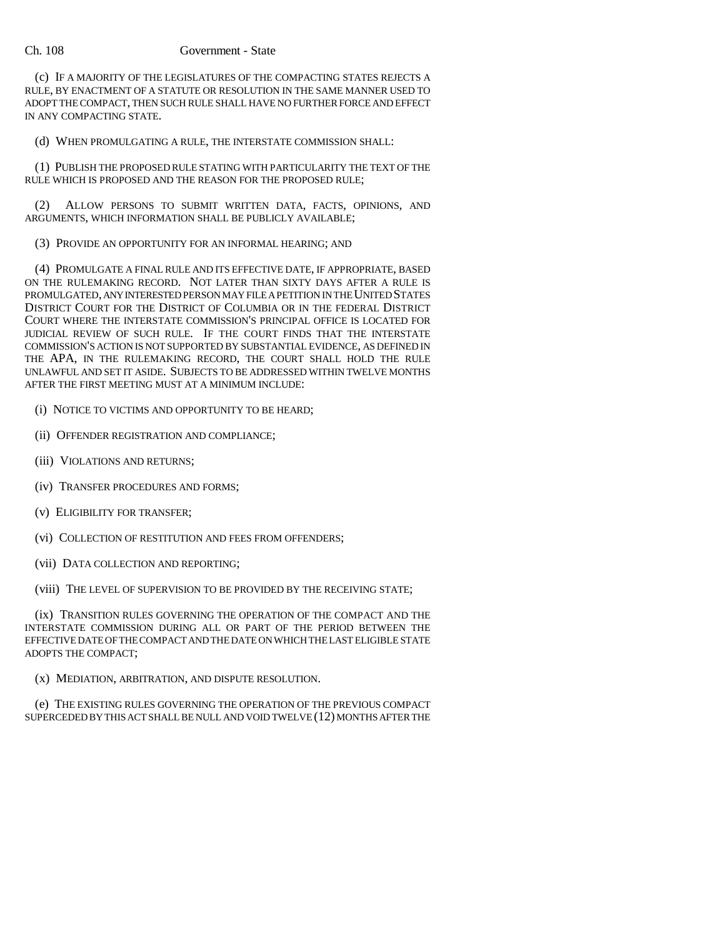(c) IF A MAJORITY OF THE LEGISLATURES OF THE COMPACTING STATES REJECTS A RULE, BY ENACTMENT OF A STATUTE OR RESOLUTION IN THE SAME MANNER USED TO ADOPT THE COMPACT, THEN SUCH RULE SHALL HAVE NO FURTHER FORCE AND EFFECT IN ANY COMPACTING STATE.

(d) WHEN PROMULGATING A RULE, THE INTERSTATE COMMISSION SHALL:

(1) PUBLISH THE PROPOSED RULE STATING WITH PARTICULARITY THE TEXT OF THE RULE WHICH IS PROPOSED AND THE REASON FOR THE PROPOSED RULE;

(2) ALLOW PERSONS TO SUBMIT WRITTEN DATA, FACTS, OPINIONS, AND ARGUMENTS, WHICH INFORMATION SHALL BE PUBLICLY AVAILABLE;

(3) PROVIDE AN OPPORTUNITY FOR AN INFORMAL HEARING; AND

(4) PROMULGATE A FINAL RULE AND ITS EFFECTIVE DATE, IF APPROPRIATE, BASED ON THE RULEMAKING RECORD. NOT LATER THAN SIXTY DAYS AFTER A RULE IS PROMULGATED, ANY INTERESTED PERSON MAY FILE A PETITION IN THE UNITED STATES DISTRICT COURT FOR THE DISTRICT OF COLUMBIA OR IN THE FEDERAL DISTRICT COURT WHERE THE INTERSTATE COMMISSION'S PRINCIPAL OFFICE IS LOCATED FOR JUDICIAL REVIEW OF SUCH RULE. IF THE COURT FINDS THAT THE INTERSTATE COMMISSION'S ACTION IS NOT SUPPORTED BY SUBSTANTIAL EVIDENCE, AS DEFINED IN THE APA, IN THE RULEMAKING RECORD, THE COURT SHALL HOLD THE RULE UNLAWFUL AND SET IT ASIDE. SUBJECTS TO BE ADDRESSED WITHIN TWELVE MONTHS AFTER THE FIRST MEETING MUST AT A MINIMUM INCLUDE:

(i) NOTICE TO VICTIMS AND OPPORTUNITY TO BE HEARD;

(ii) OFFENDER REGISTRATION AND COMPLIANCE;

- (iii) VIOLATIONS AND RETURNS;
- (iv) TRANSFER PROCEDURES AND FORMS;
- (v) ELIGIBILITY FOR TRANSFER;

(vi) COLLECTION OF RESTITUTION AND FEES FROM OFFENDERS;

(vii) DATA COLLECTION AND REPORTING;

(viii) THE LEVEL OF SUPERVISION TO BE PROVIDED BY THE RECEIVING STATE;

(ix) TRANSITION RULES GOVERNING THE OPERATION OF THE COMPACT AND THE INTERSTATE COMMISSION DURING ALL OR PART OF THE PERIOD BETWEEN THE EFFECTIVE DATE OF THE COMPACT AND THE DATE ON WHICH THE LAST ELIGIBLE STATE ADOPTS THE COMPACT;

(x) MEDIATION, ARBITRATION, AND DISPUTE RESOLUTION.

(e) THE EXISTING RULES GOVERNING THE OPERATION OF THE PREVIOUS COMPACT SUPERCEDED BY THIS ACT SHALL BE NULL AND VOID TWELVE (12) MONTHS AFTER THE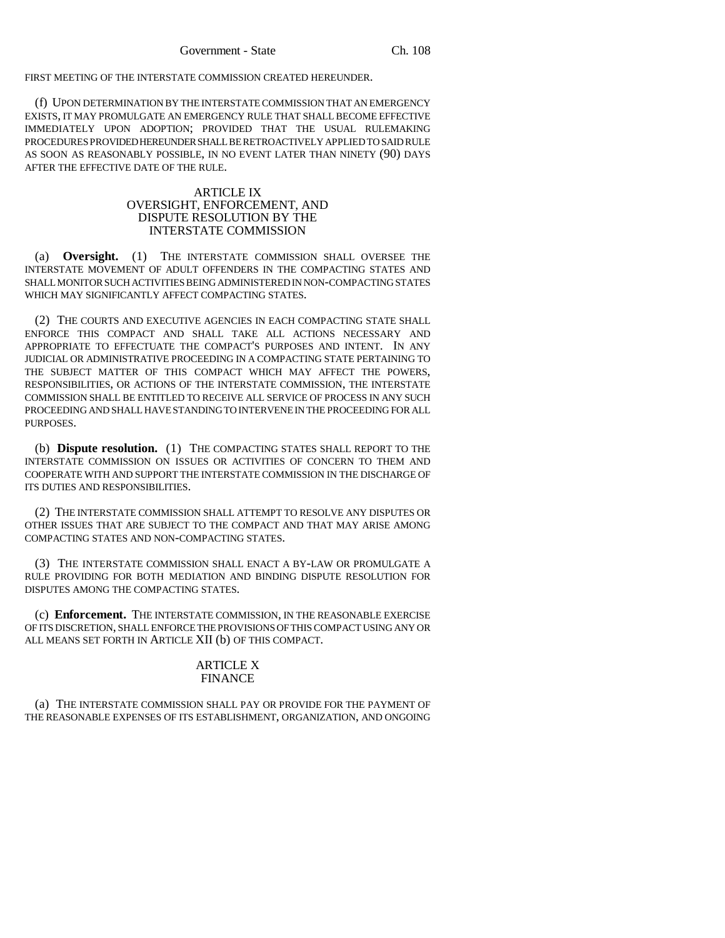FIRST MEETING OF THE INTERSTATE COMMISSION CREATED HEREUNDER.

(f) UPON DETERMINATION BY THE INTERSTATE COMMISSION THAT AN EMERGENCY EXISTS, IT MAY PROMULGATE AN EMERGENCY RULE THAT SHALL BECOME EFFECTIVE IMMEDIATELY UPON ADOPTION; PROVIDED THAT THE USUAL RULEMAKING PROCEDURES PROVIDED HEREUNDER SHALL BE RETROACTIVELY APPLIED TO SAID RULE AS SOON AS REASONABLY POSSIBLE, IN NO EVENT LATER THAN NINETY (90) DAYS AFTER THE EFFECTIVE DATE OF THE RULE.

# ARTICLE IX OVERSIGHT, ENFORCEMENT, AND DISPUTE RESOLUTION BY THE INTERSTATE COMMISSION

(a) **Oversight.** (1) THE INTERSTATE COMMISSION SHALL OVERSEE THE INTERSTATE MOVEMENT OF ADULT OFFENDERS IN THE COMPACTING STATES AND SHALL MONITOR SUCH ACTIVITIES BEING ADMINISTERED IN NON-COMPACTING STATES WHICH MAY SIGNIFICANTLY AFFECT COMPACTING STATES.

(2) THE COURTS AND EXECUTIVE AGENCIES IN EACH COMPACTING STATE SHALL ENFORCE THIS COMPACT AND SHALL TAKE ALL ACTIONS NECESSARY AND APPROPRIATE TO EFFECTUATE THE COMPACT'S PURPOSES AND INTENT. IN ANY JUDICIAL OR ADMINISTRATIVE PROCEEDING IN A COMPACTING STATE PERTAINING TO THE SUBJECT MATTER OF THIS COMPACT WHICH MAY AFFECT THE POWERS, RESPONSIBILITIES, OR ACTIONS OF THE INTERSTATE COMMISSION, THE INTERSTATE COMMISSION SHALL BE ENTITLED TO RECEIVE ALL SERVICE OF PROCESS IN ANY SUCH PROCEEDING AND SHALL HAVE STANDING TO INTERVENE IN THE PROCEEDING FOR ALL PURPOSES.

(b) **Dispute resolution.** (1) THE COMPACTING STATES SHALL REPORT TO THE INTERSTATE COMMISSION ON ISSUES OR ACTIVITIES OF CONCERN TO THEM AND COOPERATE WITH AND SUPPORT THE INTERSTATE COMMISSION IN THE DISCHARGE OF ITS DUTIES AND RESPONSIBILITIES.

(2) THE INTERSTATE COMMISSION SHALL ATTEMPT TO RESOLVE ANY DISPUTES OR OTHER ISSUES THAT ARE SUBJECT TO THE COMPACT AND THAT MAY ARISE AMONG COMPACTING STATES AND NON-COMPACTING STATES.

(3) THE INTERSTATE COMMISSION SHALL ENACT A BY-LAW OR PROMULGATE A RULE PROVIDING FOR BOTH MEDIATION AND BINDING DISPUTE RESOLUTION FOR DISPUTES AMONG THE COMPACTING STATES.

(c) **Enforcement.** THE INTERSTATE COMMISSION, IN THE REASONABLE EXERCISE OF ITS DISCRETION, SHALL ENFORCE THE PROVISIONS OF THIS COMPACT USING ANY OR ALL MEANS SET FORTH IN ARTICLE XII (b) OF THIS COMPACT.

# ARTICLE X FINANCE

(a) THE INTERSTATE COMMISSION SHALL PAY OR PROVIDE FOR THE PAYMENT OF THE REASONABLE EXPENSES OF ITS ESTABLISHMENT, ORGANIZATION, AND ONGOING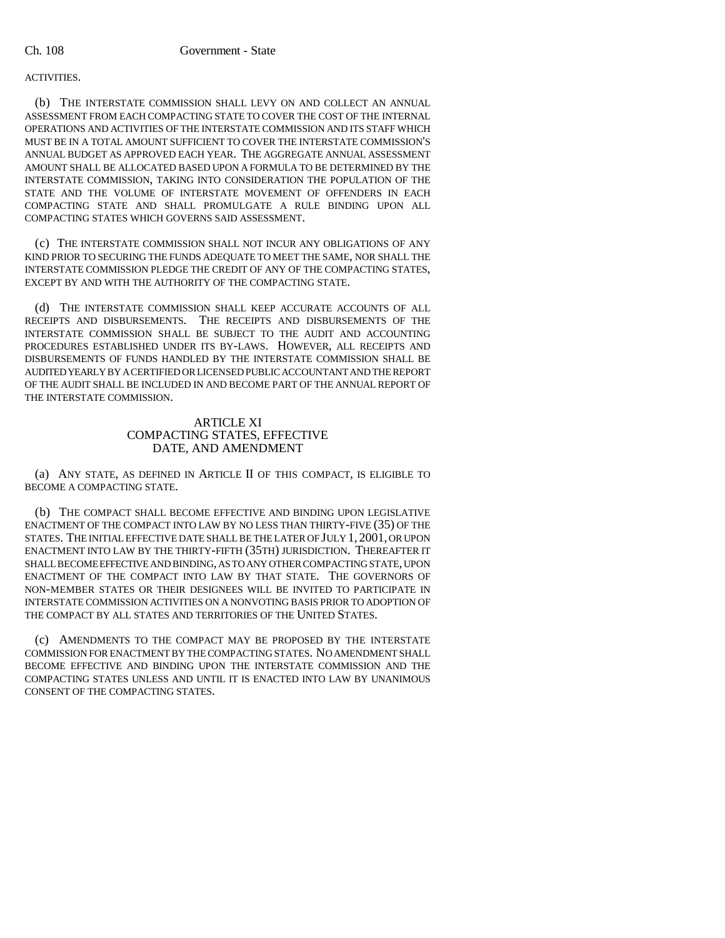## ACTIVITIES.

(b) THE INTERSTATE COMMISSION SHALL LEVY ON AND COLLECT AN ANNUAL ASSESSMENT FROM EACH COMPACTING STATE TO COVER THE COST OF THE INTERNAL OPERATIONS AND ACTIVITIES OF THE INTERSTATE COMMISSION AND ITS STAFF WHICH MUST BE IN A TOTAL AMOUNT SUFFICIENT TO COVER THE INTERSTATE COMMISSION'S ANNUAL BUDGET AS APPROVED EACH YEAR. THE AGGREGATE ANNUAL ASSESSMENT AMOUNT SHALL BE ALLOCATED BASED UPON A FORMULA TO BE DETERMINED BY THE INTERSTATE COMMISSION, TAKING INTO CONSIDERATION THE POPULATION OF THE STATE AND THE VOLUME OF INTERSTATE MOVEMENT OF OFFENDERS IN EACH COMPACTING STATE AND SHALL PROMULGATE A RULE BINDING UPON ALL COMPACTING STATES WHICH GOVERNS SAID ASSESSMENT.

(c) THE INTERSTATE COMMISSION SHALL NOT INCUR ANY OBLIGATIONS OF ANY KIND PRIOR TO SECURING THE FUNDS ADEQUATE TO MEET THE SAME, NOR SHALL THE INTERSTATE COMMISSION PLEDGE THE CREDIT OF ANY OF THE COMPACTING STATES, EXCEPT BY AND WITH THE AUTHORITY OF THE COMPACTING STATE.

(d) THE INTERSTATE COMMISSION SHALL KEEP ACCURATE ACCOUNTS OF ALL RECEIPTS AND DISBURSEMENTS. THE RECEIPTS AND DISBURSEMENTS OF THE INTERSTATE COMMISSION SHALL BE SUBJECT TO THE AUDIT AND ACCOUNTING PROCEDURES ESTABLISHED UNDER ITS BY-LAWS. HOWEVER, ALL RECEIPTS AND DISBURSEMENTS OF FUNDS HANDLED BY THE INTERSTATE COMMISSION SHALL BE AUDITED YEARLY BY A CERTIFIED OR LICENSED PUBLIC ACCOUNTANT AND THE REPORT OF THE AUDIT SHALL BE INCLUDED IN AND BECOME PART OF THE ANNUAL REPORT OF THE INTERSTATE COMMISSION.

# ARTICLE XI COMPACTING STATES, EFFECTIVE DATE, AND AMENDMENT

(a) ANY STATE, AS DEFINED IN ARTICLE II OF THIS COMPACT, IS ELIGIBLE TO BECOME A COMPACTING STATE.

(b) THE COMPACT SHALL BECOME EFFECTIVE AND BINDING UPON LEGISLATIVE ENACTMENT OF THE COMPACT INTO LAW BY NO LESS THAN THIRTY-FIVE (35) OF THE STATES. THE INITIAL EFFECTIVE DATE SHALL BE THE LATER OF JULY 1, 2001, OR UPON ENACTMENT INTO LAW BY THE THIRTY-FIFTH (35TH) JURISDICTION. THEREAFTER IT SHALL BECOME EFFECTIVE AND BINDING, AS TO ANY OTHER COMPACTING STATE, UPON ENACTMENT OF THE COMPACT INTO LAW BY THAT STATE. THE GOVERNORS OF NON-MEMBER STATES OR THEIR DESIGNEES WILL BE INVITED TO PARTICIPATE IN INTERSTATE COMMISSION ACTIVITIES ON A NONVOTING BASIS PRIOR TO ADOPTION OF THE COMPACT BY ALL STATES AND TERRITORIES OF THE UNITED STATES.

(c) AMENDMENTS TO THE COMPACT MAY BE PROPOSED BY THE INTERSTATE COMMISSION FOR ENACTMENT BY THE COMPACTING STATES. NO AMENDMENT SHALL BECOME EFFECTIVE AND BINDING UPON THE INTERSTATE COMMISSION AND THE COMPACTING STATES UNLESS AND UNTIL IT IS ENACTED INTO LAW BY UNANIMOUS CONSENT OF THE COMPACTING STATES.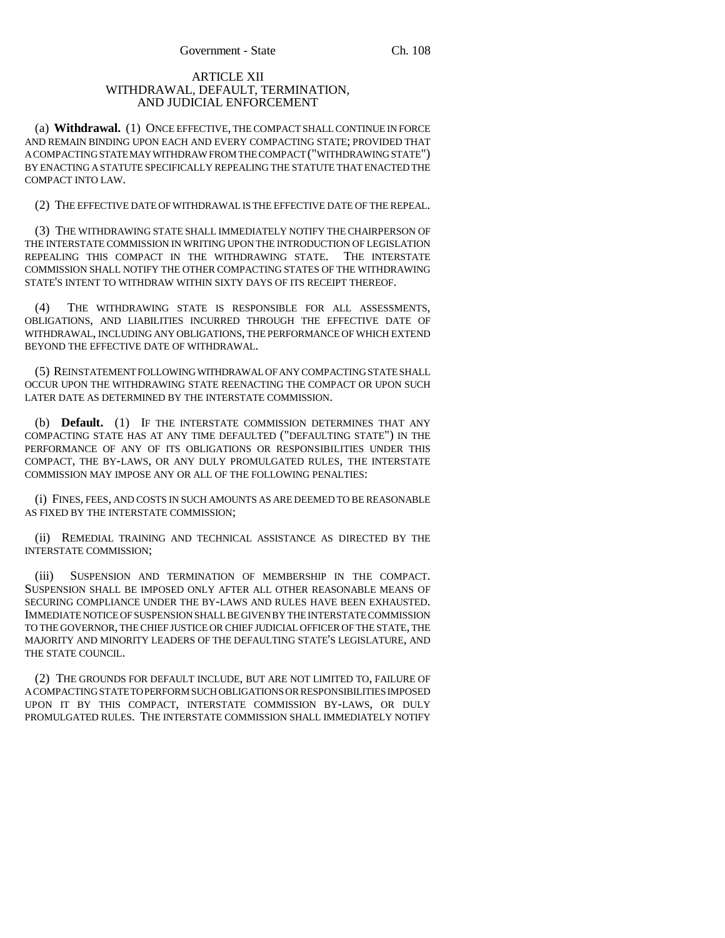#### ARTICLE XII WITHDRAWAL, DEFAULT, TERMINATION, AND JUDICIAL ENFORCEMENT

(a) **Withdrawal.** (1) ONCE EFFECTIVE, THE COMPACT SHALL CONTINUE IN FORCE AND REMAIN BINDING UPON EACH AND EVERY COMPACTING STATE; PROVIDED THAT A COMPACTING STATE MAY WITHDRAW FROM THE COMPACT ("WITHDRAWING STATE") BY ENACTING A STATUTE SPECIFICALLY REPEALING THE STATUTE THAT ENACTED THE COMPACT INTO LAW.

(2) THE EFFECTIVE DATE OF WITHDRAWAL IS THE EFFECTIVE DATE OF THE REPEAL.

(3) THE WITHDRAWING STATE SHALL IMMEDIATELY NOTIFY THE CHAIRPERSON OF THE INTERSTATE COMMISSION IN WRITING UPON THE INTRODUCTION OF LEGISLATION REPEALING THIS COMPACT IN THE WITHDRAWING STATE. THE INTERSTATE COMMISSION SHALL NOTIFY THE OTHER COMPACTING STATES OF THE WITHDRAWING STATE'S INTENT TO WITHDRAW WITHIN SIXTY DAYS OF ITS RECEIPT THEREOF.

(4) THE WITHDRAWING STATE IS RESPONSIBLE FOR ALL ASSESSMENTS, OBLIGATIONS, AND LIABILITIES INCURRED THROUGH THE EFFECTIVE DATE OF WITHDRAWAL, INCLUDING ANY OBLIGATIONS, THE PERFORMANCE OF WHICH EXTEND BEYOND THE EFFECTIVE DATE OF WITHDRAWAL.

(5) REINSTATEMENT FOLLOWING WITHDRAWAL OF ANY COMPACTING STATE SHALL OCCUR UPON THE WITHDRAWING STATE REENACTING THE COMPACT OR UPON SUCH LATER DATE AS DETERMINED BY THE INTERSTATE COMMISSION.

(b) **Default.** (1) IF THE INTERSTATE COMMISSION DETERMINES THAT ANY COMPACTING STATE HAS AT ANY TIME DEFAULTED ("DEFAULTING STATE") IN THE PERFORMANCE OF ANY OF ITS OBLIGATIONS OR RESPONSIBILITIES UNDER THIS COMPACT, THE BY-LAWS, OR ANY DULY PROMULGATED RULES, THE INTERSTATE COMMISSION MAY IMPOSE ANY OR ALL OF THE FOLLOWING PENALTIES:

(i) FINES, FEES, AND COSTS IN SUCH AMOUNTS AS ARE DEEMED TO BE REASONABLE AS FIXED BY THE INTERSTATE COMMISSION;

(ii) REMEDIAL TRAINING AND TECHNICAL ASSISTANCE AS DIRECTED BY THE INTERSTATE COMMISSION;

(iii) SUSPENSION AND TERMINATION OF MEMBERSHIP IN THE COMPACT. SUSPENSION SHALL BE IMPOSED ONLY AFTER ALL OTHER REASONABLE MEANS OF SECURING COMPLIANCE UNDER THE BY-LAWS AND RULES HAVE BEEN EXHAUSTED. IMMEDIATE NOTICE OF SUSPENSION SHALL BE GIVEN BY THE INTERSTATE COMMISSION TO THE GOVERNOR, THE CHIEF JUSTICE OR CHIEF JUDICIAL OFFICER OF THE STATE, THE MAJORITY AND MINORITY LEADERS OF THE DEFAULTING STATE'S LEGISLATURE, AND THE STATE COUNCIL.

(2) THE GROUNDS FOR DEFAULT INCLUDE, BUT ARE NOT LIMITED TO, FAILURE OF A COMPACTING STATE TO PERFORM SUCH OBLIGATIONS OR RESPONSIBILITIES IMPOSED UPON IT BY THIS COMPACT, INTERSTATE COMMISSION BY-LAWS, OR DULY PROMULGATED RULES. THE INTERSTATE COMMISSION SHALL IMMEDIATELY NOTIFY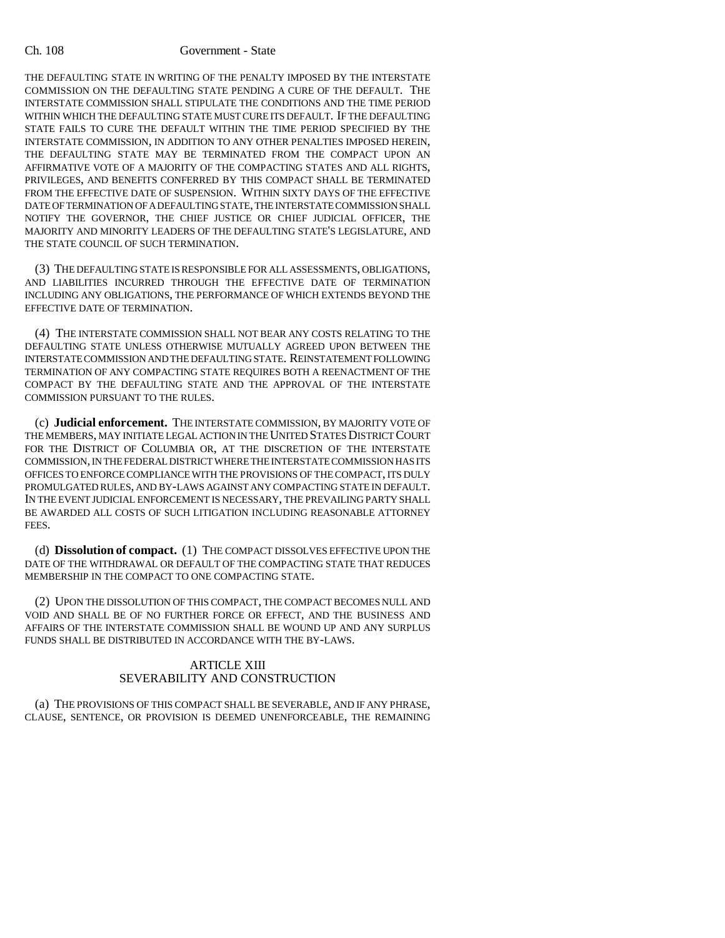THE DEFAULTING STATE IN WRITING OF THE PENALTY IMPOSED BY THE INTERSTATE COMMISSION ON THE DEFAULTING STATE PENDING A CURE OF THE DEFAULT. THE INTERSTATE COMMISSION SHALL STIPULATE THE CONDITIONS AND THE TIME PERIOD WITHIN WHICH THE DEFAULTING STATE MUST CURE ITS DEFAULT. IF THE DEFAULTING STATE FAILS TO CURE THE DEFAULT WITHIN THE TIME PERIOD SPECIFIED BY THE INTERSTATE COMMISSION, IN ADDITION TO ANY OTHER PENALTIES IMPOSED HEREIN, THE DEFAULTING STATE MAY BE TERMINATED FROM THE COMPACT UPON AN AFFIRMATIVE VOTE OF A MAJORITY OF THE COMPACTING STATES AND ALL RIGHTS, PRIVILEGES, AND BENEFITS CONFERRED BY THIS COMPACT SHALL BE TERMINATED FROM THE EFFECTIVE DATE OF SUSPENSION. WITHIN SIXTY DAYS OF THE EFFECTIVE DATE OF TERMINATION OF A DEFAULTING STATE, THE INTERSTATE COMMISSION SHALL NOTIFY THE GOVERNOR, THE CHIEF JUSTICE OR CHIEF JUDICIAL OFFICER, THE MAJORITY AND MINORITY LEADERS OF THE DEFAULTING STATE'S LEGISLATURE, AND THE STATE COUNCIL OF SUCH TERMINATION.

(3) THE DEFAULTING STATE IS RESPONSIBLE FOR ALL ASSESSMENTS, OBLIGATIONS, AND LIABILITIES INCURRED THROUGH THE EFFECTIVE DATE OF TERMINATION INCLUDING ANY OBLIGATIONS, THE PERFORMANCE OF WHICH EXTENDS BEYOND THE EFFECTIVE DATE OF TERMINATION.

(4) THE INTERSTATE COMMISSION SHALL NOT BEAR ANY COSTS RELATING TO THE DEFAULTING STATE UNLESS OTHERWISE MUTUALLY AGREED UPON BETWEEN THE INTERSTATE COMMISSION AND THE DEFAULTING STATE. REINSTATEMENT FOLLOWING TERMINATION OF ANY COMPACTING STATE REQUIRES BOTH A REENACTMENT OF THE COMPACT BY THE DEFAULTING STATE AND THE APPROVAL OF THE INTERSTATE COMMISSION PURSUANT TO THE RULES.

(c) **Judicial enforcement.** THE INTERSTATE COMMISSION, BY MAJORITY VOTE OF THE MEMBERS, MAY INITIATE LEGAL ACTION IN THE UNITED STATES DISTRICT COURT FOR THE DISTRICT OF COLUMBIA OR, AT THE DISCRETION OF THE INTERSTATE COMMISSION, IN THE FEDERAL DISTRICT WHERE THE INTERSTATE COMMISSION HAS ITS OFFICES TO ENFORCE COMPLIANCE WITH THE PROVISIONS OF THE COMPACT, ITS DULY PROMULGATED RULES, AND BY-LAWS AGAINST ANY COMPACTING STATE IN DEFAULT. IN THE EVENT JUDICIAL ENFORCEMENT IS NECESSARY, THE PREVAILING PARTY SHALL BE AWARDED ALL COSTS OF SUCH LITIGATION INCLUDING REASONABLE ATTORNEY FEES.

(d) **Dissolution of compact.** (1) THE COMPACT DISSOLVES EFFECTIVE UPON THE DATE OF THE WITHDRAWAL OR DEFAULT OF THE COMPACTING STATE THAT REDUCES MEMBERSHIP IN THE COMPACT TO ONE COMPACTING STATE.

(2) UPON THE DISSOLUTION OF THIS COMPACT, THE COMPACT BECOMES NULL AND VOID AND SHALL BE OF NO FURTHER FORCE OR EFFECT, AND THE BUSINESS AND AFFAIRS OF THE INTERSTATE COMMISSION SHALL BE WOUND UP AND ANY SURPLUS FUNDS SHALL BE DISTRIBUTED IN ACCORDANCE WITH THE BY-LAWS.

# ARTICLE XIII SEVERABILITY AND CONSTRUCTION

(a) THE PROVISIONS OF THIS COMPACT SHALL BE SEVERABLE, AND IF ANY PHRASE, CLAUSE, SENTENCE, OR PROVISION IS DEEMED UNENFORCEABLE, THE REMAINING